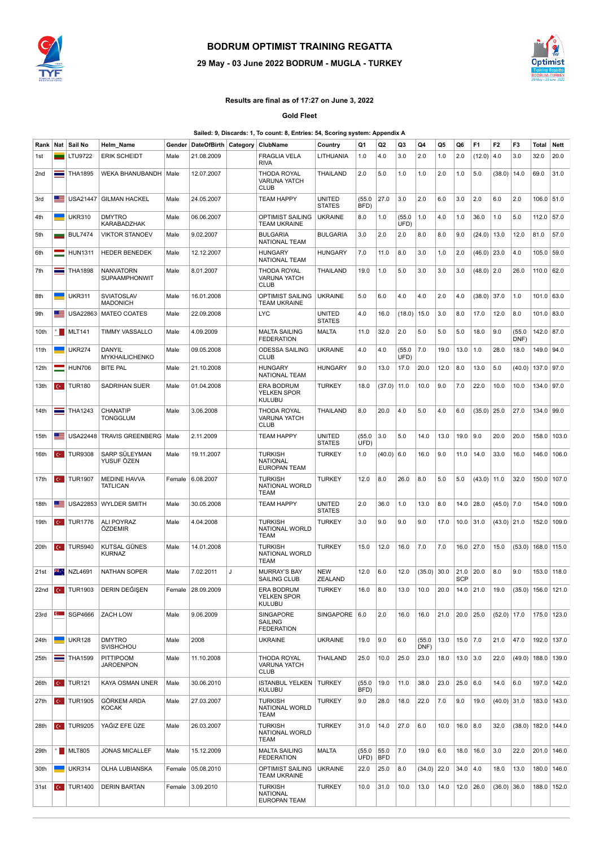

## **BODRUM OPTIMIST TRAINING REGATTA**

## **29 May - 03 June 2022 BODRUM -MUGLA - TURKEY**



## **Results are final as of 17:27 on June 3, 2022**

**Gold Fleet**

| Sailed: 9, Discards: 1, To count: 8, Entries: 54, Scoring system: Appendix A |  |  |
|------------------------------------------------------------------------------|--|--|
|                                                                              |  |  |

| Rank | Nat          | Sail No                           | Helm_Name                                | Gender | DateOfBirth Category |   | ClubName                                                 | Country                 | Q1             | Q2                 | Q3             | Q4             | Q5   | Q6                 | F <sub>1</sub> | F <sub>2</sub>  | F3             | Total                | Nett          |
|------|--------------|-----------------------------------|------------------------------------------|--------|----------------------|---|----------------------------------------------------------|-------------------------|----------------|--------------------|----------------|----------------|------|--------------------|----------------|-----------------|----------------|----------------------|---------------|
| 1st  |              | LTU9722                           | <b>ERIK SCHEIDT</b>                      | Male   | 21.08.2009           |   | FRAGLIA VELA<br><b>RIVA</b>                              | LITHUANIA               | 1.0            | 4.0                | 3.0            | 2.0            | 1.0  | 2.0                | (12.0)         | 4.0             | 3.0            | 32.0                 | 20.0          |
| 2nd  | ═            | <b>THA1895</b>                    | WEKA BHANUBANDH                          | Male   | 12.07.2007           |   | THODA ROYAL<br><b>VARUNA YATCH</b><br><b>CLUB</b>        | THAILAND                | 2.0            | 5.0                | 1.0            | 1.0            | 2.0  | 1.0                | 5.0            | (38.0)          | 14.0           | 69.0                 | 31.0          |
| 3rd  | E            | <b>USA21447</b>                   | <b>GILMAN HACKEL</b>                     | Male   | 24.05.2007           |   | <b>TEAM HAPPY</b>                                        | UNITED<br><b>STATES</b> | (55.0)<br>BFD) | 27.0               | 3.0            | 2.0            | 6.0  | 3.0                | 2.0            | 6.0             | 2.0            | 106.0 51.0           |               |
| 4th  |              | <b>UKR310</b>                     | <b>DMYTRO</b><br>KARABADZHAK             | Male   | 06.06.2007           |   | OPTIMIST SAILING<br>TEAM UKRAINE                         | <b>UKRAINE</b>          | 8.0            | 1.0                | (55.0)<br>UFD) | 1.0            | 4.0  | 1.0                | 36.0           | 1.0             | 5.0            | 112.0 57.0           |               |
| 5th  |              | <b>BUL7474</b>                    | <b>VIKTOR STANOEV</b>                    | Male   | 9.02.2007            |   | <b>BULGARIA</b><br>NATIONAL TEAM                         | <b>BULGARIA</b>         | 3.0            | 2.0                | 2.0            | 8.0            | 8.0  | 9.0                | (24.0)         | 13.0            | 12.0           | 81.0                 | 57.0          |
| 6th  |              | <b>HUN1311</b>                    | <b>HEDER BENEDEK</b>                     | Male   | 12.12.2007           |   | <b>HUNGARY</b><br><b>NATIONAL TEAM</b>                   | <b>HUNGARY</b>          | 7.0            | 11.0               | 8.0            | 3.0            | 1.0  | 2.0                | $(46.0)$ 23.0  |                 | 4.0            | 105.0 59.0           |               |
| 7th  | ═            | <b>THA1898</b>                    | <b>NANVATORN</b><br><b>SUPAAMPHONWIT</b> | Male   | 8.01.2007            |   | THODA ROYAL<br><b>VARUNA YATCH</b><br><b>CLUB</b>        | <b>THAILAND</b>         | 19.0           | 1.0                | 5.0            | 3.0            | 3.0  | 3.0                | $(48.0)$ 2.0   |                 | 26.0           | 110.0 62.0           |               |
| 8th  | ۰            | <b>UKR311</b>                     | SVIATOSLAV<br><b>MADONICH</b>            | Male   | 16.01.2008           |   | OPTIMIST SAILING<br><b>TEAM UKRAINE</b>                  | <b>UKRAINE</b>          | 5.0            | 6.0                | 4.0            | 4.0            | 2.0  | 4.0                | $(38.0)$ 37.0  |                 | 1.0            | 101.0 63.0           |               |
| 9th  | ≡            | USA22863                          | <b>MATEO COATES</b>                      | Male   | 22.09.2008           |   | <b>LYC</b>                                               | UNITED<br><b>STATES</b> | 4.0            | 16.0               | (18.0)         | 15.0           | 3.0  | 8.0                | 17.0           | 12.0            | 8.0            | 101.0 83.0           |               |
| 10th |              | $\blacksquare$ MLT141             | <b>TIMMY VASSALLO</b>                    | Male   | 4.09.2009            |   | <b>MALTA SAILING</b><br><b>FEDERATION</b>                | <b>MALTA</b>            | 11.0           | 32.0               | 2.0            | 5.0            | 5.0  | 5.0                | 18.0           | 9.0             | (55.0)<br>DNF) | 142.0 87.0           |               |
| 11th |              | <b>UKR274</b>                     | DANYIL<br>MYKHAILICHENKO                 | Male   | 09.05.2008           |   | <b>ODESSA SAILING</b><br><b>CLUB</b>                     | <b>UKRAINE</b>          | 4.0            | 4.0                | (55.0)<br>UFD) | 7.0            | 19.0 | 13.0               | 1.0            | 28.0            | 18.0           | 149.0 94.0           |               |
| 12th |              | <b>HUN706</b>                     | <b>BITE PAL</b>                          | Male   | 21.10.2008           |   | <b>HUNGARY</b><br><b>NATIONAL TEAM</b>                   | <b>HUNGARY</b>          | 9.0            | 13.0               | 17.0           | 20.0           | 12.0 | 8.0                | 13.0           | 5.0             | (40.0)         | 137.0 97.0           |               |
| 13th |              | $\frac{1}{2}$ TUR180              | <b>SADRIHAN SUER</b>                     | Male   | 01.04.2008           |   | ERA BODRUM<br><b>YELKEN SPOR</b><br><b>KULUBU</b>        | <b>TURKEY</b>           | 18.0           | (37.0)             | 11.0           | 10.0           | 9.0  | 7.0                | 22.0           | 10.0            | 10.0           | 134.0 97.0           |               |
| 14th |              | $\equiv$ THA1243                  | CHANATIP<br><b>TONGGLUM</b>              | Male   | 3.06.2008            |   | <b>THODA ROYAL</b><br>VARUNA YATCH<br><b>CLUB</b>        | <b>THAILAND</b>         | 8.0            | 20.0               | 4.0            | 5.0            | 4.0  | 6.0                | $(35.0)$ 25.0  |                 | 27.0           | 134.0 99.0           |               |
| 15th | æ            | <b>USA22448</b>                   | <b>TRAVIS GREENBERG</b>                  | Male   | 2.11.2009            |   | <b>TEAM HAPPY</b>                                        | UNITED<br><b>STATES</b> | (55.0)<br>UFD) | 3.0                | 5.0            | 14.0           | 13.0 | 19.0               | 9.0            | 20.0            | 20.0           | 158.0                | 103.0         |
| 16th |              | $\left  \text{C} \right $ TUR9308 | SARP SÜLEYMAN<br>YUSUF ÖZEN              | Male   | 19.11.2007           |   | <b>TURKISH</b><br><b>NATIONAL</b><br><b>EUROPAN TEAM</b> | <b>TURKEY</b>           | 1.0            | (40.0)             | 6.0            | 16.0           | 9.0  | 11.0               | 14.0           | 33.0            | 16.0           | 146.0                | 106.0         |
| 17th | $C^*$        | <b>TUR1907</b>                    | <b>MEDINE HAVVA</b><br><b>TATLICAN</b>   | Female | 6.08.2007            |   | <b>TURKISH</b><br>NATIONAL WORLD<br>TEAM                 | <b>TURKEY</b>           | 12.0           | 8.0                | 26.0           | 8.0            | 5.0  | 5.0                | (43.0)         | 11.0            | 32.0           | 150.0                | 107.0         |
| 18th | 트            | <b>USA22853</b>                   | <b>WYLDER SMITH</b>                      | Male   | 30.05.2008           |   | <b>TEAM HAPPY</b>                                        | UNITED<br><b>STATES</b> | 2.0            | 36.0               | 1.0            | 13.0           | 8.0  | 14.0               | 28.0           | $(45.0)$ 7.0    |                | 154.0                | 109.0         |
| 19th | $C^*$        | <b>TUR1776</b>                    | ALI POYRAZ<br>ÖZDEMIR                    | Male   | 4.04.2008            |   | <b>TURKISH</b><br>NATIONAL WORLD<br>TEAM                 | <b>TURKEY</b>           | 3.0            | 9.0                | 9.0            | 9.0            | 17.0 | 10.0               | 31.0           | $(43.0)$ 21.0   |                | 152.0                | 109.0         |
| 20th | $C^*$        | <b>TUR5940</b>                    | KUTSAL GÜNES<br><b>KURNAZ</b>            | Male   | 14.01.2008           |   | <b>TURKISH</b><br>NATIONAL WORLD<br><b>TEAM</b>          | TURKEY                  | 15.0           | 12.0               | 16.0           | 7.0            | 7.0  | 16.0               | 27.0           | 15.0            | (53.0)         | 168.0                | 115.0         |
| 21st | ж.,          | NZL4691                           | <b>NATHAN SOPER</b>                      | Male   | 7.02.2011            | J | <b>MURRAY'S BAY</b><br>SAILING CLUB                      | NEW<br>ZEALAND          | 12.0           | 6.0                | 12.0           | (35.0)         | 30.0 | 21.0<br><b>SCP</b> | 20.0           | 8.0             | 9.0            |                      | 153.0 118.0   |
|      |              | 22nd <b>C</b> TUR1903             | DERIN DEĞIŞEN                            |        | Female 28.09.2009    |   | ERA BODRUM<br><b>YELKEN SPOR</b><br><b>KULUBU</b>        | <b>TURKEY</b>           | 16.0           | 8.0                | 13.0           | 10.0           | 20.0 |                    | $14.0$ 21.0    | 19.0            |                | $(35.0)$ 156.0 121.0 |               |
| 23rd | $\mathbf{C}$ | SGP4666                           | ZACH LOW                                 | Male   | 9.06.2009            |   | SINGAPORE<br>SAILING<br><b>FEDERATION</b>                | SINGAPORE 6.0           |                | 2.0                | 16.0           | 16.0           | 21.0 |                    | $20.0$ 25.0    | $(52.0)$   17.0 |                |                      | 175.0 123.0   |
| 24th | -            | <b>UKR128</b>                     | <b>DMYTRO</b><br>SVISHCHOU               | Male   | 2008                 |   | <b>UKRAINE</b>                                           | <b>UKRAINE</b>          | 19.0           | 9.0                | 6.0            | (55.0)<br>DNF) | 13.0 | $15.0$ 7.0         |                | 21.0            | 47.0           | 192.0                | 137.0         |
| 25th |              | $\equiv$ THA1599                  | PITTIPOOM<br><b>JAROENPON</b>            | Male   | 11.10.2008           |   | THODA ROYAL<br><b>VARUNA YATCH</b><br><b>CLUB</b>        | THAILAND                | 25.0           | 10.0               | 25.0           | 23.0           | 18.0 | $13.0$ 3.0         |                | 22.0            | (49.0)         | 188.0                | 139.0         |
| 26th |              | $\left  \text{C} \right $ TUR121  | KAYA OSMAN UNER                          | Male   | 30.06.2010           |   | <b>ISTANBUL YELKEN</b><br><b>KULUBU</b>                  | <b>TURKEY</b>           | (55.0)<br>BFD) | 19.0               | 11.0           | 38.0           | 23.0 | $25.0$ 6.0         |                | 14.0            | 6.0            |                      | 197.0   142.0 |
| 27th |              | $\overline{C}$ TUR1905            | GÖRKEM ARDA<br><b>KOCAK</b>              | Male   | 27.03.2007           |   | <b>TURKISH</b><br>NATIONAL WORLD<br><b>TEAM</b>          | TURKEY                  | 9.0            | 28.0               | 18.0           | 22.0           | 7.0  | 9.0                | 19.0           | $(40.0)$ 31.0   |                |                      | 183.0   143.0 |
| 28th |              | $\frac{1}{2}$ TUR9205             | YAĞIZ EFE ÜZE                            | Male   | 26.03.2007           |   | <b>TURKISH</b><br>NATIONAL WORLD<br>TEAM                 | TURKEY                  | 31.0           | 14.0               | 27.0           | 6.0            | 10.0 | $16.0$   8.0       |                | 32.0            | (38.0)         |                      | 182.0   144.0 |
| 29th |              | $\blacksquare$ MLT805             | <b>JONAS MICALLEF</b>                    | Male   | 15.12.2009           |   | <b>MALTA SAILING</b><br><b>FEDERATION</b>                | <b>MALTA</b>            | (55.0)<br>UFD) | 55.0<br><b>BFD</b> | 7.0            | 19.0           | 6.0  | 18.0               | 16.0           | 3.0             | 22.0           |                      | 201.0   146.0 |
| 30th |              | <b>UKR314</b>                     | OLHA LUBIANSKA                           |        | Female   05.08.2010  |   | OPTIMIST SAILING<br><b>TEAM UKRAINE</b>                  | <b>UKRAINE</b>          | 22.0           | 25.0               | 8.0            | $(34.0)$ 22.0  |      | 34.0               | 4.0            | 18.0            | 13.0           | 180.0                | 146.0         |
| 31st |              | $\left  \text{C} \right $ TUR1400 | <b>DERIN BARTAN</b>                      |        | Female 3.09.2010     |   | <b>TURKISH</b><br><b>NATIONAL</b><br>EUROPAN TEAM        | TURKEY                  | 10.0           | 31.0               | 10.0           | 13.0           | 14.0 | 12.0               | 26.0           | $(36.0)$ 36.0   |                |                      | 188.0   152.0 |